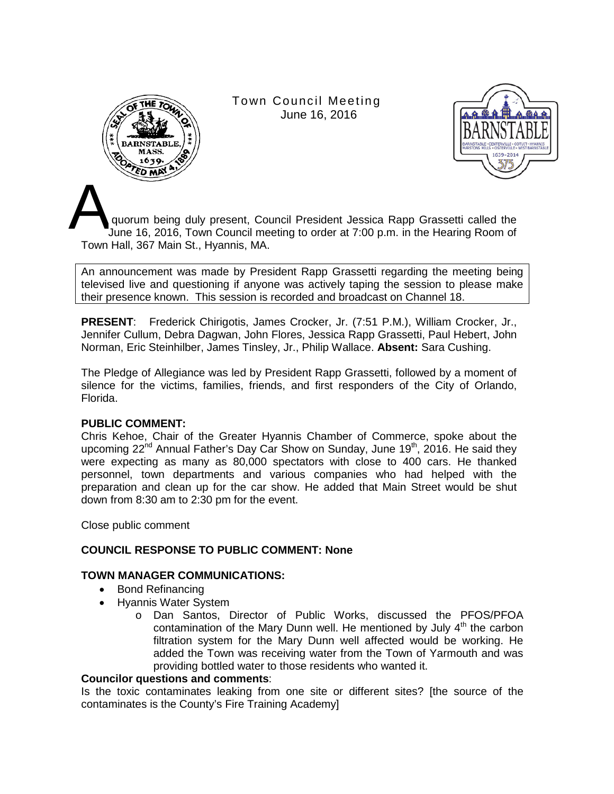

Town Council Meeting June 16, 2016



quorum being duly present, Council President Jessica Rapp Grassetti called the June 16, 2016, Town Council meeting to order at 7:00 p.m. in the Hearing Room of Town Hall, 367 Main St., Hyannis, MA. A

An announcement was made by President Rapp Grassetti regarding the meeting being televised live and questioning if anyone was actively taping the session to please make their presence known. This session is recorded and broadcast on Channel 18.

**PRESENT**: Frederick Chirigotis, James Crocker, Jr. (7:51 P.M.), William Crocker, Jr., Jennifer Cullum, Debra Dagwan, John Flores, Jessica Rapp Grassetti, Paul Hebert, John Norman, Eric Steinhilber, James Tinsley, Jr., Philip Wallace. **Absent:** Sara Cushing.

The Pledge of Allegiance was led by President Rapp Grassetti, followed by a moment of silence for the victims, families, friends, and first responders of the City of Orlando, Florida.

#### **PUBLIC COMMENT:**

Chris Kehoe, Chair of the Greater Hyannis Chamber of Commerce, spoke about the upcoming  $22^{nd}$  Annual Father's Day Car Show on Sunday, June 19<sup>th</sup>, 2016. He said they were expecting as many as 80,000 spectators with close to 400 cars. He thanked personnel, town departments and various companies who had helped with the preparation and clean up for the car show. He added that Main Street would be shut down from 8:30 am to 2:30 pm for the event.

Close public comment

# **COUNCIL RESPONSE TO PUBLIC COMMENT: None**

#### **TOWN MANAGER COMMUNICATIONS:**

- Bond Refinancing
- Hyannis Water System
	- o Dan Santos, Director of Public Works, discussed the PFOS/PFOA contamination of the Mary Dunn well. He mentioned by July  $4<sup>th</sup>$  the carbon filtration system for the Mary Dunn well affected would be working. He added the Town was receiving water from the Town of Yarmouth and was providing bottled water to those residents who wanted it.

#### **Councilor questions and comments**:

Is the toxic contaminates leaking from one site or different sites? [the source of the contaminates is the County's Fire Training Academy]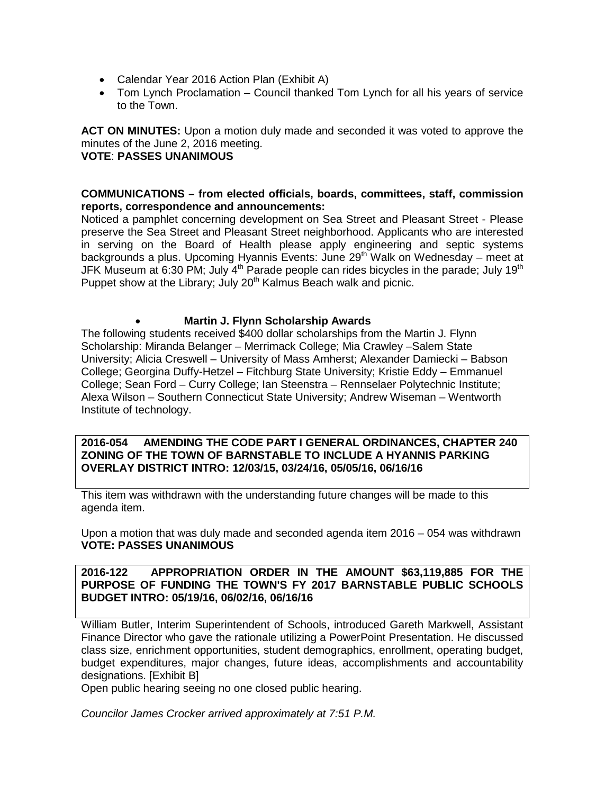- Calendar Year 2016 Action Plan (Exhibit A)
- Tom Lynch Proclamation Council thanked Tom Lynch for all his years of service to the Town.

**ACT ON MINUTES:** Upon a motion duly made and seconded it was voted to approve the minutes of the June 2, 2016 meeting. **VOTE**: **PASSES UNANIMOUS**

#### **COMMUNICATIONS – from elected officials, boards, committees, staff, commission reports, correspondence and announcements:**

Noticed a pamphlet concerning development on Sea Street and Pleasant Street - Please preserve the Sea Street and Pleasant Street neighborhood. Applicants who are interested in serving on the Board of Health please apply engineering and septic systems backgrounds a plus. Upcoming Hyannis Events: June 29<sup>th</sup> Walk on Wednesday – meet at JFK Museum at 6:30 PM; July  $4<sup>th</sup>$  Parade people can rides bicycles in the parade; July 19<sup>th</sup> Puppet show at the Library; July  $20<sup>th</sup>$  Kalmus Beach walk and picnic.

#### • **Martin J. Flynn Scholarship Awards**

The following students received \$400 dollar scholarships from the Martin J. Flynn Scholarship: Miranda Belanger – Merrimack College; Mia Crawley –Salem State University; Alicia Creswell – University of Mass Amherst; Alexander Damiecki – Babson College; Georgina Duffy-Hetzel – Fitchburg State University; Kristie Eddy – Emmanuel College; Sean Ford – Curry College; Ian Steenstra – Rennselaer Polytechnic Institute; Alexa Wilson – Southern Connecticut State University; Andrew Wiseman – Wentworth Institute of technology.

**2016-054 AMENDING THE CODE PART I GENERAL ORDINANCES, CHAPTER 240 ZONING OF THE TOWN OF BARNSTABLE TO INCLUDE A HYANNIS PARKING OVERLAY DISTRICT INTRO: 12/03/15, 03/24/16, 05/05/16, 06/16/16**

This item was withdrawn with the understanding future changes will be made to this agenda item.

Upon a motion that was duly made and seconded agenda item 2016 – 054 was withdrawn **VOTE: PASSES UNANIMOUS**

#### **2016-122 APPROPRIATION ORDER IN THE AMOUNT \$63,119,885 FOR THE PURPOSE OF FUNDING THE TOWN'S FY 2017 BARNSTABLE PUBLIC SCHOOLS BUDGET INTRO: 05/19/16, 06/02/16, 06/16/16**

William Butler, Interim Superintendent of Schools, introduced Gareth Markwell, Assistant Finance Director who gave the rationale utilizing a PowerPoint Presentation. He discussed class size, enrichment opportunities, student demographics, enrollment, operating budget, budget expenditures, major changes, future ideas, accomplishments and accountability designations. [Exhibit B]

Open public hearing seeing no one closed public hearing.

*Councilor James Crocker arrived approximately at 7:51 P.M.*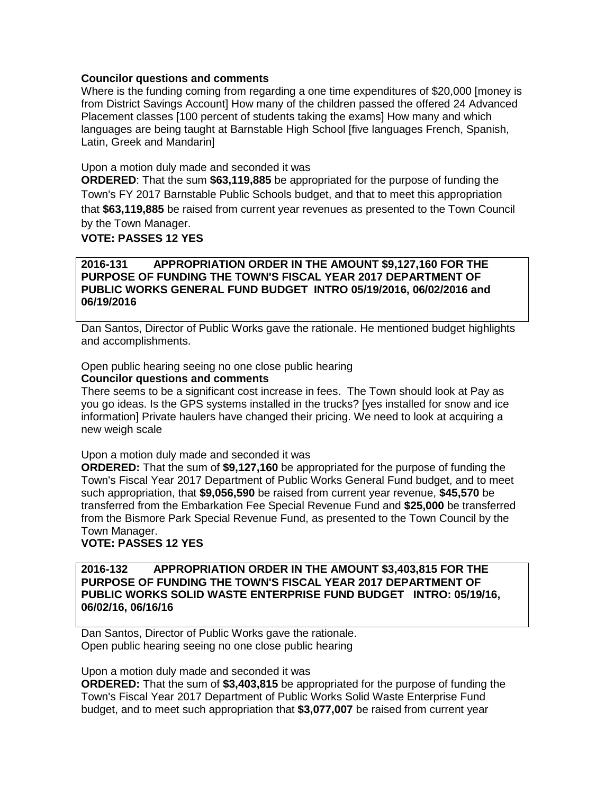#### **Councilor questions and comments**

Where is the funding coming from regarding a one time expenditures of \$20,000 [money is from District Savings Account] How many of the children passed the offered 24 Advanced Placement classes [100 percent of students taking the exams] How many and which languages are being taught at Barnstable High School [five languages French, Spanish, Latin, Greek and Mandarin]

#### Upon a motion duly made and seconded it was

**ORDERED**: That the sum **\$63,119,885** be appropriated for the purpose of funding the Town's FY 2017 Barnstable Public Schools budget, and that to meet this appropriation that **\$63,119,885** be raised from current year revenues as presented to the Town Council by the Town Manager.

#### **VOTE: PASSES 12 YES**

#### **2016-131 APPROPRIATION ORDER IN THE AMOUNT \$9,127,160 FOR THE PURPOSE OF FUNDING THE TOWN'S FISCAL YEAR 2017 DEPARTMENT OF PUBLIC WORKS GENERAL FUND BUDGET INTRO 05/19/2016, 06/02/2016 and 06/19/2016**

Dan Santos, Director of Public Works gave the rationale. He mentioned budget highlights and accomplishments.

Open public hearing seeing no one close public hearing **Councilor questions and comments**

There seems to be a significant cost increase in fees. The Town should look at Pay as you go ideas. Is the GPS systems installed in the trucks? [yes installed for snow and ice information] Private haulers have changed their pricing. We need to look at acquiring a new weigh scale

#### Upon a motion duly made and seconded it was

**ORDERED:** That the sum of **\$9,127,160** be appropriated for the purpose of funding the Town's Fiscal Year 2017 Department of Public Works General Fund budget, and to meet such appropriation, that **\$9,056,590** be raised from current year revenue, **\$45,570** be transferred from the Embarkation Fee Special Revenue Fund and **\$25,000** be transferred from the Bismore Park Special Revenue Fund, as presented to the Town Council by the Town Manager.

#### **VOTE: PASSES 12 YES**

**2016-132 APPROPRIATION ORDER IN THE AMOUNT \$3,403,815 FOR THE PURPOSE OF FUNDING THE TOWN'S FISCAL YEAR 2017 DEPARTMENT OF PUBLIC WORKS SOLID WASTE ENTERPRISE FUND BUDGET INTRO: 05/19/16, 06/02/16, 06/16/16**

Dan Santos, Director of Public Works gave the rationale. Open public hearing seeing no one close public hearing

Upon a motion duly made and seconded it was

**ORDERED:** That the sum of **\$3,403,815** be appropriated for the purpose of funding the Town's Fiscal Year 2017 Department of Public Works Solid Waste Enterprise Fund budget, and to meet such appropriation that **\$3,077,007** be raised from current year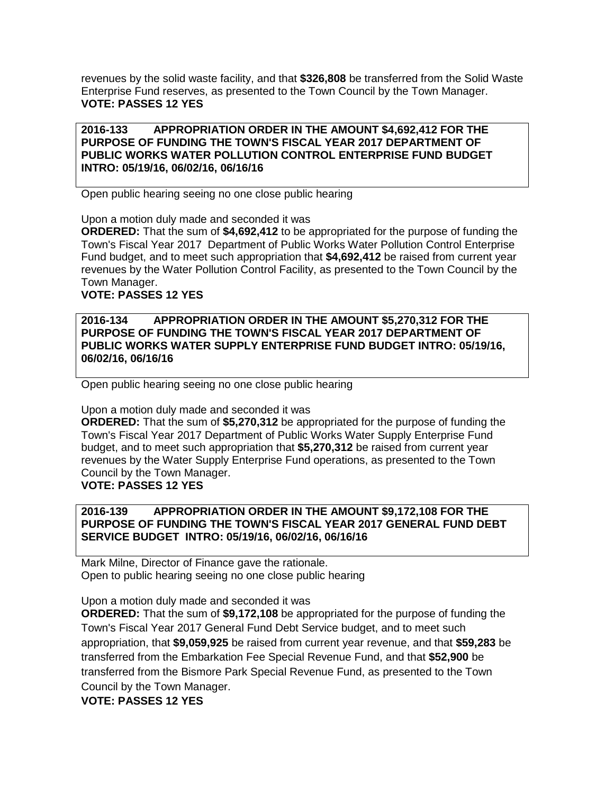revenues by the solid waste facility, and that **\$326,808** be transferred from the Solid Waste Enterprise Fund reserves, as presented to the Town Council by the Town Manager. **VOTE: PASSES 12 YES** 

# **2016-133 APPROPRIATION ORDER IN THE AMOUNT \$4,692,412 FOR THE PURPOSE OF FUNDING THE TOWN'S FISCAL YEAR 2017 DEPARTMENT OF PUBLIC WORKS WATER POLLUTION CONTROL ENTERPRISE FUND BUDGET INTRO: 05/19/16, 06/02/16, 06/16/16**

Open public hearing seeing no one close public hearing

Upon a motion duly made and seconded it was

**ORDERED:** That the sum of **\$4,692,412** to be appropriated for the purpose of funding the Town's Fiscal Year 2017 Department of Public Works Water Pollution Control Enterprise Fund budget, and to meet such appropriation that **\$4,692,412** be raised from current year revenues by the Water Pollution Control Facility, as presented to the Town Council by the Town Manager.

**VOTE: PASSES 12 YES** 

#### **2016-134 APPROPRIATION ORDER IN THE AMOUNT \$5,270,312 FOR THE PURPOSE OF FUNDING THE TOWN'S FISCAL YEAR 2017 DEPARTMENT OF PUBLIC WORKS WATER SUPPLY ENTERPRISE FUND BUDGET INTRO: 05/19/16, 06/02/16, 06/16/16**

Open public hearing seeing no one close public hearing

Upon a motion duly made and seconded it was

**ORDERED:** That the sum of **\$5,270,312** be appropriated for the purpose of funding the Town's Fiscal Year 2017 Department of Public Works Water Supply Enterprise Fund budget, and to meet such appropriation that **\$5,270,312** be raised from current year revenues by the Water Supply Enterprise Fund operations, as presented to the Town Council by the Town Manager.

# **VOTE: PASSES 12 YES**

#### **2016-139 APPROPRIATION ORDER IN THE AMOUNT \$9,172,108 FOR THE PURPOSE OF FUNDING THE TOWN'S FISCAL YEAR 2017 GENERAL FUND DEBT SERVICE BUDGET INTRO: 05/19/16, 06/02/16, 06/16/16**

Mark Milne, Director of Finance gave the rationale. Open to public hearing seeing no one close public hearing

Upon a motion duly made and seconded it was

**ORDERED:** That the sum of **\$9,172,108** be appropriated for the purpose of funding the Town's Fiscal Year 2017 General Fund Debt Service budget, and to meet such appropriation, that **\$9,059,925** be raised from current year revenue, and that **\$59,283** be transferred from the Embarkation Fee Special Revenue Fund, and that **\$52,900** be transferred from the Bismore Park Special Revenue Fund, as presented to the Town Council by the Town Manager.

**VOTE: PASSES 12 YES**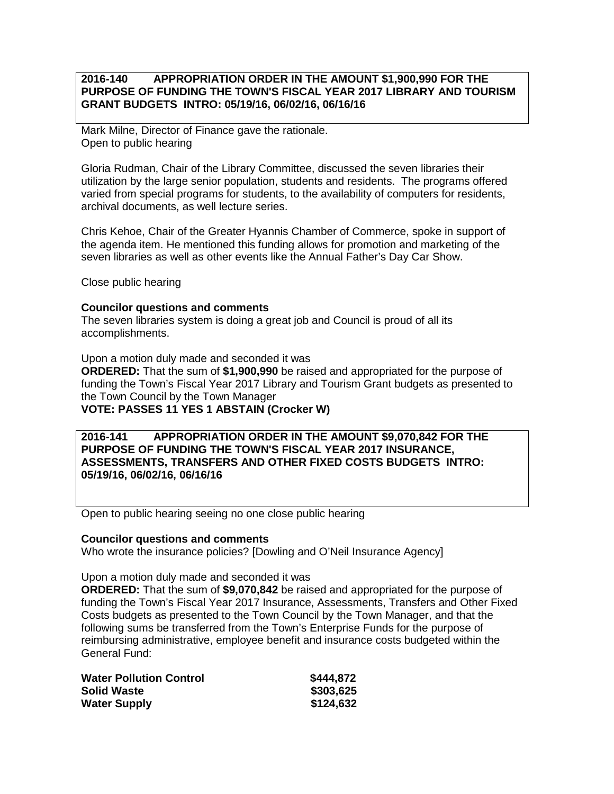#### **2016-140 APPROPRIATION ORDER IN THE AMOUNT \$1,900,990 FOR THE PURPOSE OF FUNDING THE TOWN'S FISCAL YEAR 2017 LIBRARY AND TOURISM GRANT BUDGETS INTRO: 05/19/16, 06/02/16, 06/16/16**

Mark Milne, Director of Finance gave the rationale. Open to public hearing

Gloria Rudman, Chair of the Library Committee, discussed the seven libraries their utilization by the large senior population, students and residents. The programs offered varied from special programs for students, to the availability of computers for residents, archival documents, as well lecture series.

Chris Kehoe, Chair of the Greater Hyannis Chamber of Commerce, spoke in support of the agenda item. He mentioned this funding allows for promotion and marketing of the seven libraries as well as other events like the Annual Father's Day Car Show.

Close public hearing

#### **Councilor questions and comments**

The seven libraries system is doing a great job and Council is proud of all its accomplishments.

Upon a motion duly made and seconded it was **ORDERED:** That the sum of **\$1,900,990** be raised and appropriated for the purpose of funding the Town's Fiscal Year 2017 Library and Tourism Grant budgets as presented to the Town Council by the Town Manager **VOTE: PASSES 11 YES 1 ABSTAIN (Crocker W)**

**2016-141 APPROPRIATION ORDER IN THE AMOUNT \$9,070,842 FOR THE PURPOSE OF FUNDING THE TOWN'S FISCAL YEAR 2017 INSURANCE, ASSESSMENTS, TRANSFERS AND OTHER FIXED COSTS BUDGETS INTRO: 05/19/16, 06/02/16, 06/16/16**

Open to public hearing seeing no one close public hearing

#### **Councilor questions and comments**

Who wrote the insurance policies? [Dowling and O'Neil Insurance Agency]

Upon a motion duly made and seconded it was

**ORDERED:** That the sum of **\$9,070,842** be raised and appropriated for the purpose of funding the Town's Fiscal Year 2017 Insurance, Assessments, Transfers and Other Fixed Costs budgets as presented to the Town Council by the Town Manager, and that the following sums be transferred from the Town's Enterprise Funds for the purpose of reimbursing administrative, employee benefit and insurance costs budgeted within the General Fund:

| <b>Water Pollution Control</b> | \$444,872 |
|--------------------------------|-----------|
| <b>Solid Waste</b>             | \$303,625 |
| <b>Water Supply</b>            | \$124,632 |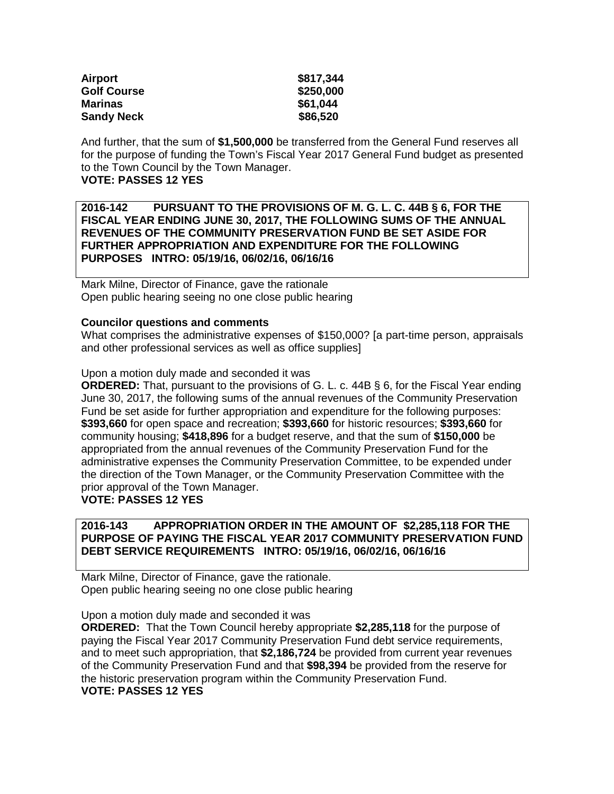| <b>Airport</b>     | \$817,344 |
|--------------------|-----------|
| <b>Golf Course</b> | \$250,000 |
| <b>Marinas</b>     | \$61,044  |
| <b>Sandy Neck</b>  | \$86,520  |

And further, that the sum of **\$1,500,000** be transferred from the General Fund reserves all for the purpose of funding the Town's Fiscal Year 2017 General Fund budget as presented to the Town Council by the Town Manager. **VOTE: PASSES 12 YES** 

**2016-142 PURSUANT TO THE PROVISIONS OF M. G. L. C. 44B § 6, FOR THE FISCAL YEAR ENDING JUNE 30, 2017, THE FOLLOWING SUMS OF THE ANNUAL REVENUES OF THE COMMUNITY PRESERVATION FUND BE SET ASIDE FOR FURTHER APPROPRIATION AND EXPENDITURE FOR THE FOLLOWING PURPOSES INTRO: 05/19/16, 06/02/16, 06/16/16** 

Mark Milne, Director of Finance, gave the rationale Open public hearing seeing no one close public hearing

#### **Councilor questions and comments**

What comprises the administrative expenses of \$150,000? [a part-time person, appraisals and other professional services as well as office supplies]

Upon a motion duly made and seconded it was

**ORDERED:** That, pursuant to the provisions of G. L. c. 44B § 6, for the Fiscal Year ending June 30, 2017, the following sums of the annual revenues of the Community Preservation Fund be set aside for further appropriation and expenditure for the following purposes: **\$393,660** for open space and recreation; **\$393,660** for historic resources; **\$393,660** for community housing; **\$418,896** for a budget reserve, and that the sum of **\$150,000** be appropriated from the annual revenues of the Community Preservation Fund for the administrative expenses the Community Preservation Committee, to be expended under the direction of the Town Manager, or the Community Preservation Committee with the prior approval of the Town Manager.

**VOTE: PASSES 12 YES** 

#### **2016-143 APPROPRIATION ORDER IN THE AMOUNT OF \$2,285,118 FOR THE PURPOSE OF PAYING THE FISCAL YEAR 2017 COMMUNITY PRESERVATION FUND DEBT SERVICE REQUIREMENTS INTRO: 05/19/16, 06/02/16, 06/16/16**

Mark Milne, Director of Finance, gave the rationale. Open public hearing seeing no one close public hearing

Upon a motion duly made and seconded it was

**ORDERED:** That the Town Council hereby appropriate **\$2,285,118** for the purpose of paying the Fiscal Year 2017 Community Preservation Fund debt service requirements, and to meet such appropriation, that **\$2,186,724** be provided from current year revenues of the Community Preservation Fund and that **\$98,394** be provided from the reserve for the historic preservation program within the Community Preservation Fund. **VOTE: PASSES 12 YES**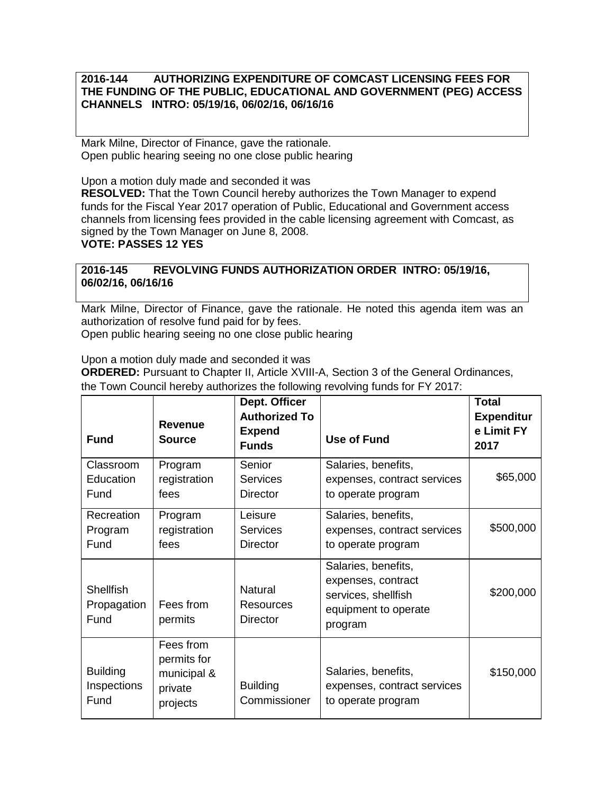# **2016-144 AUTHORIZING EXPENDITURE OF COMCAST LICENSING FEES FOR THE FUNDING OF THE PUBLIC, EDUCATIONAL AND GOVERNMENT (PEG) ACCESS CHANNELS INTRO: 05/19/16, 06/02/16, 06/16/16**

Mark Milne, Director of Finance, gave the rationale. Open public hearing seeing no one close public hearing

Upon a motion duly made and seconded it was

**RESOLVED:** That the Town Council hereby authorizes the Town Manager to expend funds for the Fiscal Year 2017 operation of Public, Educational and Government access channels from licensing fees provided in the cable licensing agreement with Comcast, as signed by the Town Manager on June 8, 2008.

**VOTE: PASSES 12 YES** 

#### **2016-145 REVOLVING FUNDS AUTHORIZATION ORDER INTRO: 05/19/16, 06/02/16, 06/16/16**

Mark Milne, Director of Finance, gave the rationale. He noted this agenda item was an authorization of resolve fund paid for by fees. Open public hearing seeing no one close public hearing

Upon a motion duly made and seconded it was

**ORDERED:** Pursuant to Chapter II, Article XVIII-A, Section 3 of the General Ordinances, the Town Council hereby authorizes the following revolving funds for FY 2017:

| <b>Fund</b>                             | <b>Revenue</b><br><b>Source</b>                                | Dept. Officer<br><b>Authorized To</b><br><b>Expend</b><br><b>Funds</b> | <b>Use of Fund</b>                                                                                  | <b>Total</b><br><b>Expenditur</b><br>e Limit FY<br>2017 |
|-----------------------------------------|----------------------------------------------------------------|------------------------------------------------------------------------|-----------------------------------------------------------------------------------------------------|---------------------------------------------------------|
| Classroom<br>Education<br>Fund          | Program<br>registration<br>fees                                | Senior<br><b>Services</b><br><b>Director</b>                           | Salaries, benefits,<br>expenses, contract services<br>to operate program                            | \$65,000                                                |
| Recreation<br>Program<br>Fund           | Program<br>registration<br>fees                                | Leisure<br><b>Services</b><br><b>Director</b>                          | Salaries, benefits,<br>expenses, contract services<br>to operate program                            | \$500,000                                               |
| <b>Shellfish</b><br>Propagation<br>Fund | Fees from<br>permits                                           | Natural<br><b>Resources</b><br>Director                                | Salaries, benefits,<br>expenses, contract<br>services, shellfish<br>equipment to operate<br>program | \$200,000                                               |
| <b>Building</b><br>Inspections<br>Fund  | Fees from<br>permits for<br>municipal &<br>private<br>projects | <b>Building</b><br>Commissioner                                        | Salaries, benefits,<br>expenses, contract services<br>to operate program                            | \$150,000                                               |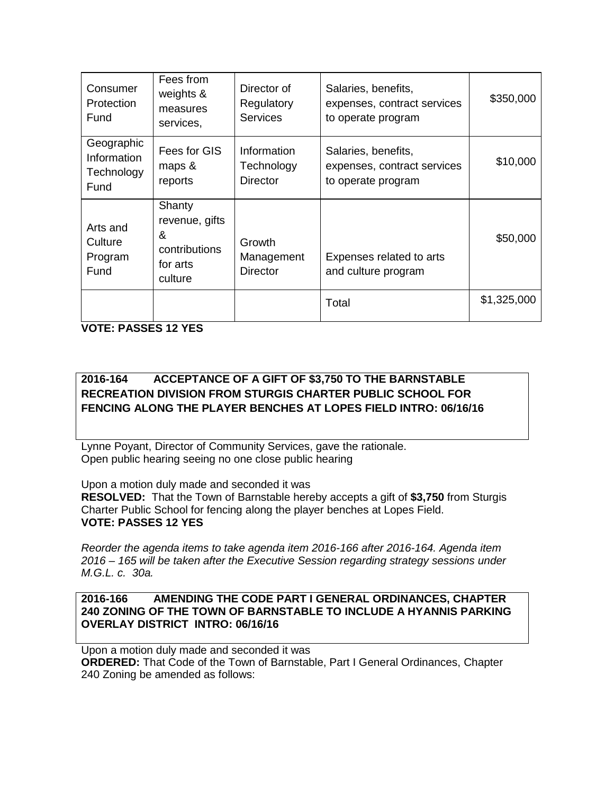| Consumer<br>Protection<br>Fund                  | Fees from<br>weights &<br>measures<br>services,                       | Director of<br>Regulatory<br><b>Services</b> | Salaries, benefits,<br>expenses, contract services<br>to operate program | \$350,000   |
|-------------------------------------------------|-----------------------------------------------------------------------|----------------------------------------------|--------------------------------------------------------------------------|-------------|
| Geographic<br>Information<br>Technology<br>Fund | Fees for GIS<br>maps &<br>reports                                     | Information<br>Technology<br><b>Director</b> | Salaries, benefits,<br>expenses, contract services<br>to operate program | \$10,000    |
| Arts and<br>Culture<br>Program<br>Fund          | Shanty<br>revenue, gifts<br>&<br>contributions<br>for arts<br>culture | Growth<br>Management<br><b>Director</b>      | Expenses related to arts<br>and culture program                          | \$50,000    |
|                                                 |                                                                       |                                              | Total                                                                    | \$1,325,000 |

**VOTE: PASSES 12 YES** 

# **2016-164 ACCEPTANCE OF A GIFT OF \$3,750 TO THE BARNSTABLE RECREATION DIVISION FROM STURGIS CHARTER PUBLIC SCHOOL FOR FENCING ALONG THE PLAYER BENCHES AT LOPES FIELD INTRO: 06/16/16**

Lynne Poyant, Director of Community Services, gave the rationale. Open public hearing seeing no one close public hearing

Upon a motion duly made and seconded it was **RESOLVED:** That the Town of Barnstable hereby accepts a gift of **\$3,750** from Sturgis Charter Public School for fencing along the player benches at Lopes Field. **VOTE: PASSES 12 YES** 

*Reorder the agenda items to take agenda item 2016-166 after 2016-164. Agenda item 2016 – 165 will be taken after the Executive Session regarding strategy sessions under M.G.L. c. 30a.*

#### **2016-166 AMENDING THE CODE PART I GENERAL ORDINANCES, CHAPTER 240 ZONING OF THE TOWN OF BARNSTABLE TO INCLUDE A HYANNIS PARKING OVERLAY DISTRICT INTRO: 06/16/16**

Upon a motion duly made and seconded it was **ORDERED:** That Code of the Town of Barnstable, Part I General Ordinances, Chapter 240 Zoning be amended as follows: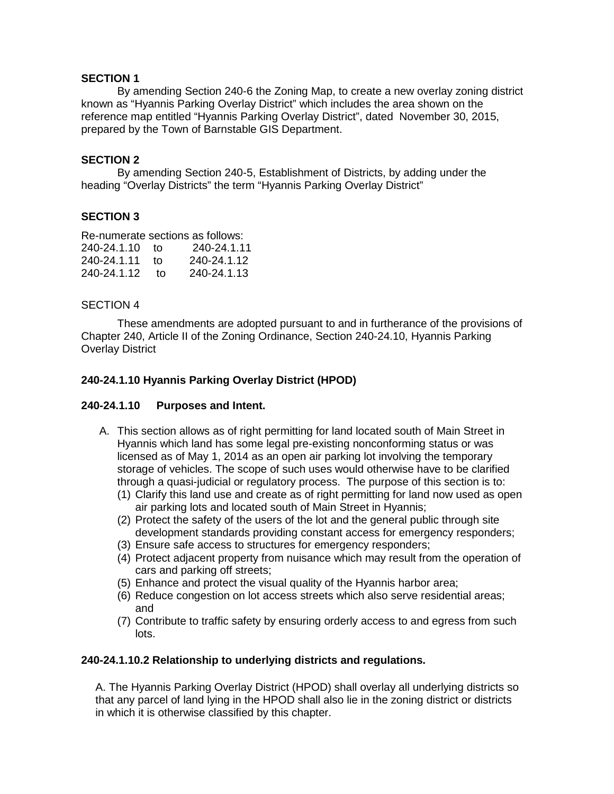#### **SECTION 1**

By amending Section 240-6 the Zoning Map, to create a new overlay zoning district known as "Hyannis Parking Overlay District" which includes the area shown on the reference map entitled "Hyannis Parking Overlay District", dated November 30, 2015, prepared by the Town of Barnstable GIS Department.

# **SECTION 2**

By amending Section 240-5, Establishment of Districts, by adding under the heading "Overlay Districts" the term "Hyannis Parking Overlay District"

# **SECTION 3**

Re-numerate sections as follows: 240-24.1.10 to 240-24.1.11 240-24.1.11 to 240-24.1.12 240-24.1.12 to 240-24.1.13

#### SECTION 4

These amendments are adopted pursuant to and in furtherance of the provisions of Chapter 240, Article II of the Zoning Ordinance, Section 240-24.10, Hyannis Parking Overlay District

# **240-24.1.10 Hyannis Parking Overlay District (HPOD)**

#### **240-24.1.10 Purposes and Intent.**

- A. This section allows as of right permitting for land located south of Main Street in Hyannis which land has some legal pre-existing nonconforming status or was licensed as of May 1, 2014 as an open air parking lot involving the temporary storage of vehicles. The scope of such uses would otherwise have to be clarified through a quasi-judicial or regulatory process. The purpose of this section is to:
	- (1) Clarify this land use and create as of right permitting for land now used as open air parking lots and located south of Main Street in Hyannis;
	- (2) Protect the safety of the users of the lot and the general public through site development standards providing constant access for emergency responders;
	- (3) Ensure safe access to structures for emergency responders;
	- (4) Protect adjacent property from nuisance which may result from the operation of cars and parking off streets;
	- (5) Enhance and protect the visual quality of the Hyannis harbor area;
	- (6) Reduce congestion on lot access streets which also serve residential areas; and
	- (7) Contribute to traffic safety by ensuring orderly access to and egress from such lots.

#### **240-24.1.10.2 Relationship to underlying districts and regulations.**

A. The Hyannis Parking Overlay District (HPOD) shall overlay all underlying districts so that any parcel of land lying in the HPOD shall also lie in the zoning district or districts in which it is otherwise classified by this chapter.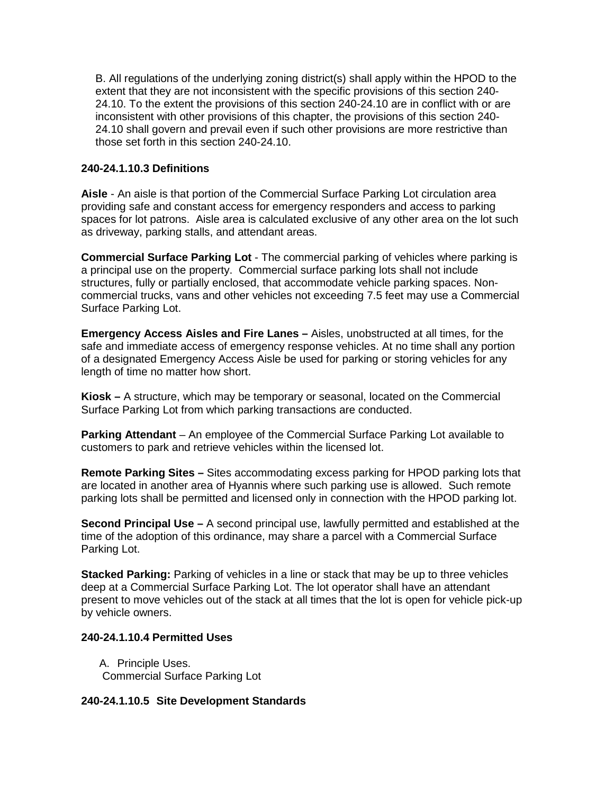B. All regulations of the underlying zoning district(s) shall apply within the HPOD to the extent that they are not inconsistent with the specific provisions of this section 240- 24.10. To the extent the provisions of this section 240-24.10 are in conflict with or are inconsistent with other provisions of this chapter, the provisions of this section 240- 24.10 shall govern and prevail even if such other provisions are more restrictive than those set forth in this section 240-24.10.

#### **240-24.1.10.3 Definitions**

**Aisle** - An aisle is that portion of the Commercial Surface Parking Lot circulation area providing safe and constant access for emergency responders and access to parking spaces for lot patrons. Aisle area is calculated exclusive of any other area on the lot such as driveway, parking stalls, and attendant areas.

**Commercial Surface Parking Lot** - The commercial parking of vehicles where parking is a principal use on the property. Commercial surface parking lots shall not include structures, fully or partially enclosed, that accommodate vehicle parking spaces. Noncommercial trucks, vans and other vehicles not exceeding 7.5 feet may use a Commercial Surface Parking Lot.

**Emergency Access Aisles and Fire Lanes –** Aisles, unobstructed at all times, for the safe and immediate access of emergency response vehicles. At no time shall any portion of a designated Emergency Access Aisle be used for parking or storing vehicles for any length of time no matter how short.

**Kiosk –** A structure, which may be temporary or seasonal, located on the Commercial Surface Parking Lot from which parking transactions are conducted.

**Parking Attendant** – An employee of the Commercial Surface Parking Lot available to customers to park and retrieve vehicles within the licensed lot.

**Remote Parking Sites –** Sites accommodating excess parking for HPOD parking lots that are located in another area of Hyannis where such parking use is allowed. Such remote parking lots shall be permitted and licensed only in connection with the HPOD parking lot.

**Second Principal Use –** A second principal use, lawfully permitted and established at the time of the adoption of this ordinance, may share a parcel with a Commercial Surface Parking Lot.

**Stacked Parking:** Parking of vehicles in a line or stack that may be up to three vehicles deep at a Commercial Surface Parking Lot. The lot operator shall have an attendant present to move vehicles out of the stack at all times that the lot is open for vehicle pick-up by vehicle owners.

#### **240-24.1.10.4 Permitted Uses**

A. Principle Uses. Commercial Surface Parking Lot

#### **240-24.1.10.5 Site Development Standards**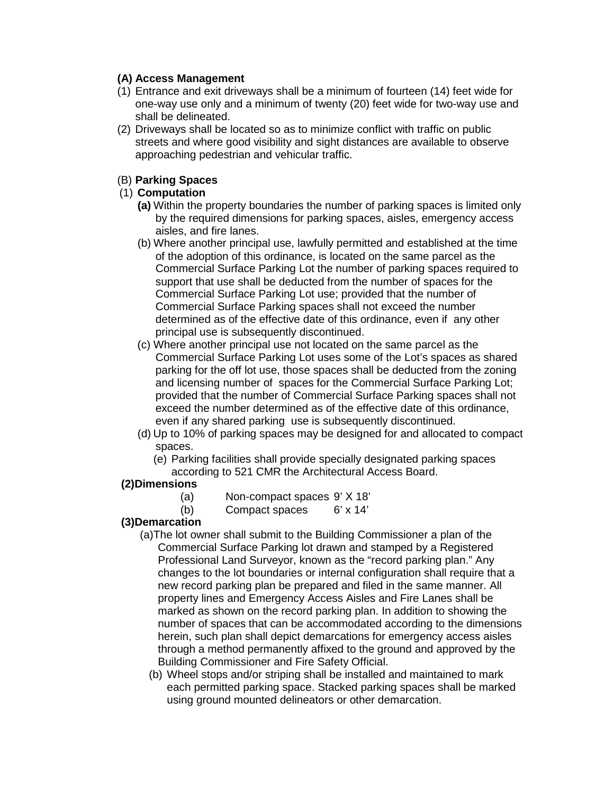# **(A) Access Management**

- (1) Entrance and exit driveways shall be a minimum of fourteen (14) feet wide for one-way use only and a minimum of twenty (20) feet wide for two-way use and shall be delineated.
- (2) Driveways shall be located so as to minimize conflict with traffic on public streets and where good visibility and sight distances are available to observe approaching pedestrian and vehicular traffic.

# (B) **Parking Spaces**

# (1) **Computation**

- **(a)** Within the property boundaries the number of parking spaces is limited only by the required dimensions for parking spaces, aisles, emergency access aisles, and fire lanes.
- (b) Where another principal use, lawfully permitted and established at the time of the adoption of this ordinance, is located on the same parcel as the Commercial Surface Parking Lot the number of parking spaces required to support that use shall be deducted from the number of spaces for the Commercial Surface Parking Lot use; provided that the number of Commercial Surface Parking spaces shall not exceed the number determined as of the effective date of this ordinance, even if any other principal use is subsequently discontinued.
- (c) Where another principal use not located on the same parcel as the Commercial Surface Parking Lot uses some of the Lot's spaces as shared parking for the off lot use, those spaces shall be deducted from the zoning and licensing number of spaces for the Commercial Surface Parking Lot; provided that the number of Commercial Surface Parking spaces shall not exceed the number determined as of the effective date of this ordinance, even if any shared parking use is subsequently discontinued.
- (d) Up to 10% of parking spaces may be designed for and allocated to compact spaces.
	- (e) Parking facilities shall provide specially designated parking spaces according to 521 CMR the Architectural Access Board.

# **(2)Dimensions**

- (a) Non-compact spaces 9' X 18'
- (b) Compact spaces 6' x 14'

# **(3)Demarcation**

- (a)The lot owner shall submit to the Building Commissioner a plan of the Commercial Surface Parking lot drawn and stamped by a Registered Professional Land Surveyor, known as the "record parking plan." Any changes to the lot boundaries or internal configuration shall require that a new record parking plan be prepared and filed in the same manner. All property lines and Emergency Access Aisles and Fire Lanes shall be marked as shown on the record parking plan. In addition to showing the number of spaces that can be accommodated according to the dimensions herein, such plan shall depict demarcations for emergency access aisles through a method permanently affixed to the ground and approved by the Building Commissioner and Fire Safety Official.
	- (b) Wheel stops and/or striping shall be installed and maintained to mark each permitted parking space. Stacked parking spaces shall be marked using ground mounted delineators or other demarcation.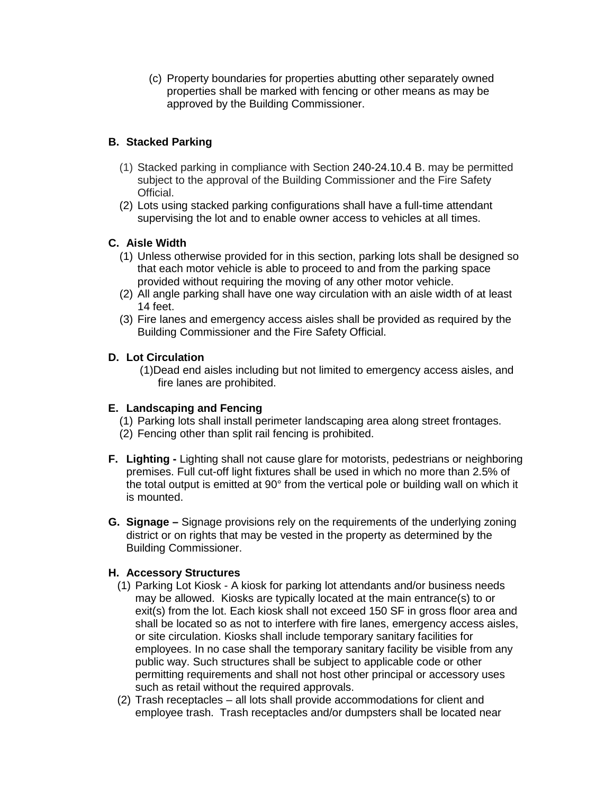(c) Property boundaries for properties abutting other separately owned properties shall be marked with fencing or other means as may be approved by the Building Commissioner.

# **B. Stacked Parking**

- (1) Stacked parking in compliance with Section 240-24.10.4 B. may be permitted subject to the approval of the Building Commissioner and the Fire Safety Official.
- (2) Lots using stacked parking configurations shall have a full-time attendant supervising the lot and to enable owner access to vehicles at all times.

# **C. Aisle Width**

- (1) Unless otherwise provided for in this section, parking lots shall be designed so that each motor vehicle is able to proceed to and from the parking space provided without requiring the moving of any other motor vehicle.
- (2) All angle parking shall have one way circulation with an aisle width of at least 14 feet.
- (3) Fire lanes and emergency access aisles shall be provided as required by the Building Commissioner and the Fire Safety Official.

# **D. Lot Circulation**

(1)Dead end aisles including but not limited to emergency access aisles, and fire lanes are prohibited.

# **E. Landscaping and Fencing**

- (1) Parking [lots](http://ww2.cityofpasadena.net/zoning/P-8.html#LOT) shall install perimeter landscaping area along street frontages.
- (2) Fencing other than split rail fencing is prohibited.
- **F. Lighting -** Lighting shall not cause glare for motorists, pedestrians or neighboring premises. Full cut-off light fixtures shall be used in which no more than 2.5% of the total output is emitted at 90° from the vertical pole or building wall on which it is mounted.
- **G. Signage –** Signage provisions rely on the requirements of the underlying zoning district or on rights that may be vested in the property as determined by the Building Commissioner.

# **H. Accessory Structures**

- (1) Parking Lot Kiosk A kiosk for parking lot attendants and/or business needs may be allowed. Kiosks are typically located at the main entrance(s) to or exit(s) from the lot. Each kiosk shall not exceed 150 SF in gross floor area and shall be located so as not to interfere with fire lanes, emergency access aisles, or site circulation. Kiosks shall include temporary sanitary facilities for employees. In no case shall the temporary sanitary facility be visible from any public way. Such structures shall be subject to applicable code or other permitting requirements and shall not host other principal or accessory uses such as retail without the required approvals.
- (2) Trash receptacles all lots shall provide accommodations for client and employee trash. Trash receptacles and/or dumpsters shall be located near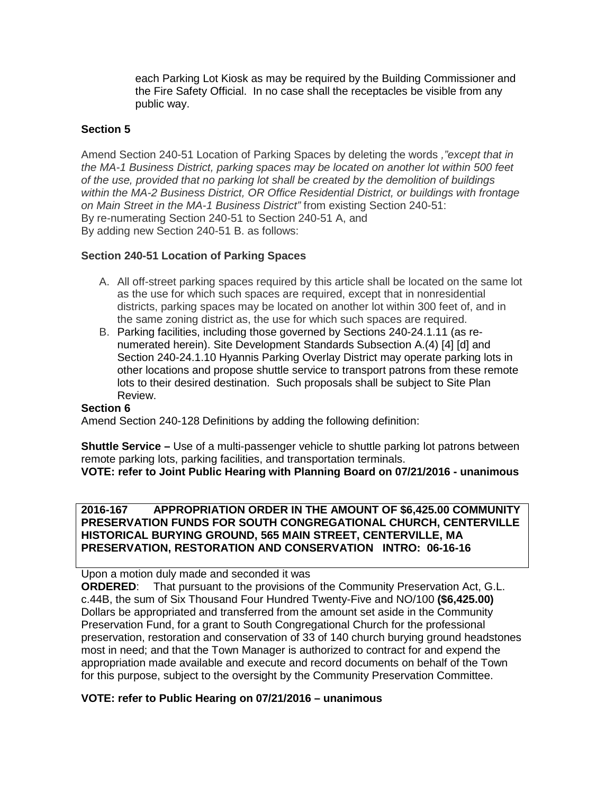each Parking Lot Kiosk as may be required by the Building Commissioner and the Fire Safety Official. In no case shall the receptacles be visible from any public way.

# **Section 5**

Amend Section 240-51 Location of Parking Spaces by deleting the words *,"except that in the MA-1 Business District, parking spaces may be located on another lot within 500 feet of the use, provided that no parking lot shall be created by the demolition of buildings within the MA-2 Business District, OR Office Residential District, or buildings with frontage on Main Street in the MA-1 Business District"* from existing Section 240-51: By re-numerating Section 240-51 to Section 240-51 A, and By adding new Section 240-51 B. as follows:

# **Section 240-51 Location of Parking Spaces**

- A. All off-street parking spaces required by this article shall be located on the same lot as the use for which such spaces are required, except that in nonresidential districts, parking spaces may be located on another lot within 300 feet of, and in the same zoning district as, the use for which such spaces are required.
- B. Parking facilities, including those governed by Sections 240-24.1.11 (as renumerated herein). Site Development Standards Subsection A.(4) [4] [d] and Section 240-24.1.10 Hyannis Parking Overlay District may operate parking lots in other locations and propose shuttle service to transport patrons from these remote lots to their desired destination. Such proposals shall be subject to Site Plan Review.

# **Section 6**

Amend Section 240-128 Definitions by adding the following definition:

**Shuttle Service –** Use of a multi-passenger vehicle to shuttle parking lot patrons between remote parking lots, parking facilities, and transportation terminals. **VOTE: refer to Joint Public Hearing with Planning Board on 07/21/2016 - unanimous** 

**2016-167 APPROPRIATION ORDER IN THE AMOUNT OF \$6,425.00 COMMUNITY PRESERVATION FUNDS FOR SOUTH CONGREGATIONAL CHURCH, CENTERVILLE HISTORICAL BURYING GROUND, 565 MAIN STREET, CENTERVILLE, MA PRESERVATION, RESTORATION AND CONSERVATION INTRO: 06-16-16**

Upon a motion duly made and seconded it was

**ORDERED**: That pursuant to the provisions of the Community Preservation Act, G.L. c.44B, the sum of Six Thousand Four Hundred Twenty-Five and NO/100 **(\$6,425.00)** Dollars be appropriated and transferred from the amount set aside in the Community Preservation Fund, for a grant to South Congregational Church for the professional preservation, restoration and conservation of 33 of 140 church burying ground headstones most in need; and that the Town Manager is authorized to contract for and expend the appropriation made available and execute and record documents on behalf of the Town for this purpose, subject to the oversight by the Community Preservation Committee.

**VOTE: refer to Public Hearing on 07/21/2016 – unanimous**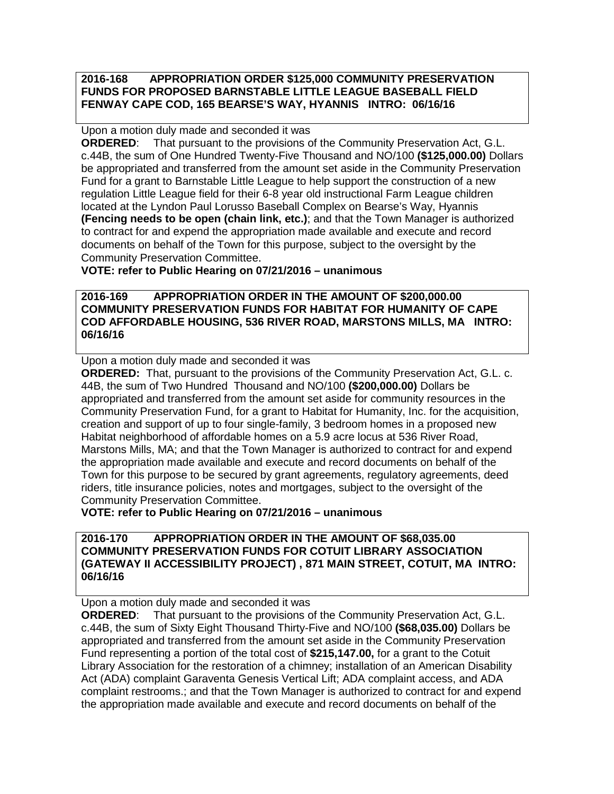### **2016-168 APPROPRIATION ORDER \$125,000 COMMUNITY PRESERVATION FUNDS FOR PROPOSED BARNSTABLE LITTLE LEAGUE BASEBALL FIELD FENWAY CAPE COD, 165 BEARSE'S WAY, HYANNIS INTRO: 06/16/16**

Upon a motion duly made and seconded it was

**ORDERED**: That pursuant to the provisions of the Community Preservation Act, G.L. c.44B, the sum of One Hundred Twenty-Five Thousand and NO/100 **(\$125,000.00)** Dollars be appropriated and transferred from the amount set aside in the Community Preservation Fund for a grant to Barnstable Little League to help support the construction of a new regulation Little League field for their 6-8 year old instructional Farm League children located at the Lyndon Paul Lorusso Baseball Complex on Bearse's Way, Hyannis **(Fencing needs to be open (chain link, etc.)**; and that the Town Manager is authorized to contract for and expend the appropriation made available and execute and record documents on behalf of the Town for this purpose, subject to the oversight by the Community Preservation Committee.

**VOTE: refer to Public Hearing on 07/21/2016 – unanimous**

**2016-169 APPROPRIATION ORDER IN THE AMOUNT OF \$200,000.00 COMMUNITY PRESERVATION FUNDS FOR HABITAT FOR HUMANITY OF CAPE COD AFFORDABLE HOUSING, 536 RIVER ROAD, MARSTONS MILLS, MA INTRO: 06/16/16** 

Upon a motion duly made and seconded it was

**ORDERED:** That, pursuant to the provisions of the Community Preservation Act, G.L. c. 44B, the sum of Two Hundred Thousand and NO/100 **(\$200,000.00)** Dollars be appropriated and transferred from the amount set aside for community resources in the Community Preservation Fund, for a grant to Habitat for Humanity, Inc. for the acquisition, creation and support of up to four single-family, 3 bedroom homes in a proposed new Habitat neighborhood of affordable homes on a 5.9 acre locus at 536 River Road, Marstons Mills, MA; and that the Town Manager is authorized to contract for and expend the appropriation made available and execute and record documents on behalf of the Town for this purpose to be secured by grant agreements, regulatory agreements, deed riders, title insurance policies, notes and mortgages, subject to the oversight of the Community Preservation Committee.

**VOTE: refer to Public Hearing on 07/21/2016 – unanimous**

**2016-170 APPROPRIATION ORDER IN THE AMOUNT OF \$68,035.00 COMMUNITY PRESERVATION FUNDS FOR COTUIT LIBRARY ASSOCIATION (GATEWAY II ACCESSIBILITY PROJECT) , 871 MAIN STREET, COTUIT, MA INTRO: 06/16/16** 

Upon a motion duly made and seconded it was

**ORDERED**: That pursuant to the provisions of the Community Preservation Act, G.L. c.44B, the sum of Sixty Eight Thousand Thirty-Five and NO/100 **(\$68,035.00)** Dollars be appropriated and transferred from the amount set aside in the Community Preservation Fund representing a portion of the total cost of **\$215,147.00,** for a grant to the Cotuit Library Association for the restoration of a chimney; installation of an American Disability Act (ADA) complaint Garaventa Genesis Vertical Lift; ADA complaint access, and ADA complaint restrooms.; and that the Town Manager is authorized to contract for and expend the appropriation made available and execute and record documents on behalf of the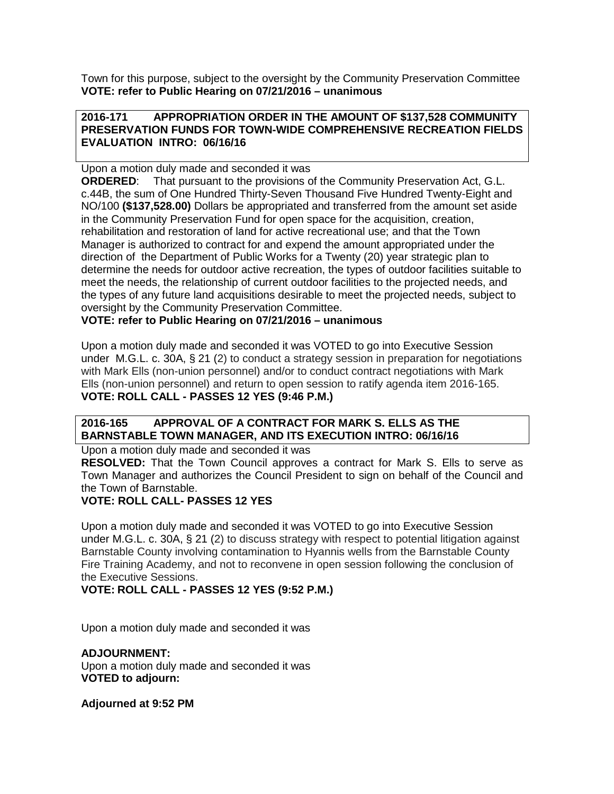Town for this purpose, subject to the oversight by the Community Preservation Committee **VOTE: refer to Public Hearing on 07/21/2016 – unanimous**

# **2016-171 APPROPRIATION ORDER IN THE AMOUNT OF \$137,528 COMMUNITY PRESERVATION FUNDS FOR TOWN-WIDE COMPREHENSIVE RECREATION FIELDS EVALUATION INTRO: 06/16/16**

Upon a motion duly made and seconded it was

**ORDERED:** That pursuant to the provisions of the Community Preservation Act, G.L. c.44B, the sum of One Hundred Thirty-Seven Thousand Five Hundred Twenty-Eight and NO/100 **(\$137,528.00)** Dollars be appropriated and transferred from the amount set aside in the Community Preservation Fund for open space for the acquisition, creation, rehabilitation and restoration of land for active recreational use; and that the Town Manager is authorized to contract for and expend the amount appropriated under the direction of the Department of Public Works for a Twenty (20) year strategic plan to determine the needs for outdoor active recreation, the types of outdoor facilities suitable to meet the needs, the relationship of current outdoor facilities to the projected needs, and the types of any future land acquisitions desirable to meet the projected needs, subject to oversight by the Community Preservation Committee.

**VOTE: refer to Public Hearing on 07/21/2016 – unanimous**

Upon a motion duly made and seconded it was VOTED to go into Executive Session under M.G.L. c. 30A, § 21 (2) to conduct a strategy session in preparation for negotiations with Mark Ells (non-union personnel) and/or to conduct contract negotiations with Mark Ells (non-union personnel) and return to open session to ratify agenda item 2016-165. **VOTE: ROLL CALL - PASSES 12 YES (9:46 P.M.)**

# **2016-165 APPROVAL OF A CONTRACT FOR MARK S. ELLS AS THE BARNSTABLE TOWN MANAGER, AND ITS EXECUTION INTRO: 06/16/16**

Upon a motion duly made and seconded it was

**RESOLVED:** That the Town Council approves a contract for Mark S. Ells to serve as Town Manager and authorizes the Council President to sign on behalf of the Council and the Town of Barnstable.

# **VOTE: ROLL CALL- PASSES 12 YES**

Upon a motion duly made and seconded it was VOTED to go into Executive Session under M.G.L. c. 30A, § 21 (2) to discuss strategy with respect to potential litigation against Barnstable County involving contamination to Hyannis wells from the Barnstable County Fire Training Academy, and not to reconvene in open session following the conclusion of the Executive Sessions.

**VOTE: ROLL CALL - PASSES 12 YES (9:52 P.M.)**

Upon a motion duly made and seconded it was

# **ADJOURNMENT:**

Upon a motion duly made and seconded it was **VOTED to adjourn:** 

**Adjourned at 9:52 PM**